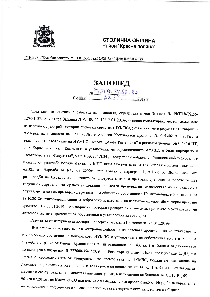

## СТОЛИЧНА ОБЩИНА Район "Красна поляна"

София, ул. "Освобождение" N 25, П.К.1330, тел.02/921 72 42 факс 02/828 48 83

## ЗАПОВЕД

No PKN19-P256-82

След като се запознах с работата на комисията, определена с моя Заповед № РКП18-РД56-129/31.07.18г./ стара Заповед №РД-09-11-13/12.01.2016/, относно констатиране местоположението на излезли от употреба моторни превозни средства (ИУМПС), установих, че в резултат от извършена проверка на комисията на 19.10.2018г. е съставен Констативен протокол № 015346/19.10.2018г. за техническото състояние на ИУМПС - марка "Алфа Ромео 146" с регистрационен № С 5436 НТ, цвят-бордо металик. Комисията е установила, че горепосоченото ИУМПС е било паркирано и изоставено в кв. "Факултета", ул. "Несебър" №34, върху терен публична общинска собственост, и е излязло от употреба поради факта, че МПС няма заверен знак за технически преглед, съгласно чл.32д от Наредба № 1-45 от 2000г., във връзка с параграф 1, т.1,т.б от Допълнителните разпоредби на Наредба за излезлите от употреба моторни превозни средства за повече от две години от определената му дата за следващ преглед за проверка на техническата му изправност, в случай че то се намира върху държавна или общинска собственост. На автомобила е бил залепен на 19.10.2018г. стикер-предписание за доброволно преместване на излязлото от употреба моторно превозно средство. На 25.01.2019 г. е извършена повторна проверка от комисията, при която е установено, че автомобилът не е преместен от собственика в установения за това срок.

Резултатът от извършената повторна проверка е отразен в Протокол № 1/25.01.2019г.

Въз основа на осъществената контролна дейност в проведената процедура по констатиране на техническото състояние на конкретното ИУМПС и установяване на собственика му, е извършена служебна справка от Район "Красна поляна" на основание чл. 143, ал. 1 от Закона за движението по пътищата с писмо изх. № 227000-3547/2019г. от Регистъра на Отдел "Пътна полиция" към СДВР, във връзка с необходимостта от принудителното преместване на ИУМПС, поради не изпълнение на дадените предписания в установения за това срок и на основание чл. 44, ал. 1, т. 9 и ал. 2 от Закона за местното самоуправление и местната администрация, в изпълнение на Заповед № СО15-РД-09-961/28.07.2015г. на Кмета на СО във връзка с чл.46.,ал. 1, във връзка с ал.5 от Наредба за управление на отпадъците и поддържане и опазване на чистотата на територията на Столична община